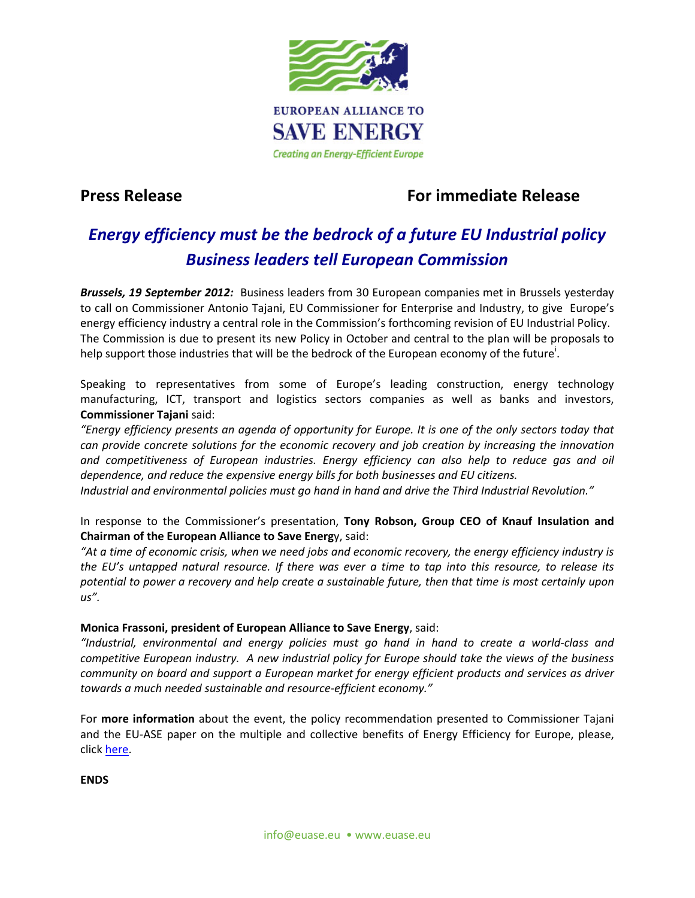

## **Press Release For immediate Release**

# *Energy efficiency must be the bedrock of a future EU Industrial policy Business leaders tell European Commission*

*Brussels, 19 September 2012:* Business leaders from 30 European companies met in Brussels yesterday to call on Commissioner Antonio Tajani, EU Commissioner for Enterprise and Industry, to give Europe's energy efficiency industry a central role in the Commission's forthcoming revision of EU Industrial Policy. The Commission is due to present its new Policy in October and central to the plan will be proposals to help support those [i](#page-1-0)ndustries that will be the bedrock of the European economy of the future<sup>1</sup>.

Speaking to representatives from some of Europe's leading construction, energy technology manufacturing, ICT, transport and logistics sectors companies as well as banks and investors, **Commissioner Tajani** said:

*"Energy efficiency presents an agenda of opportunity for Europe. It is one of the only sectors today that can provide concrete solutions for the economic recovery and job creation by increasing the innovation and competitiveness of European industries. Energy efficiency can also help to reduce gas and oil dependence, and reduce the expensive energy bills for both businesses and EU citizens.*

*Industrial and environmental policies must go hand in hand and drive the Third Industrial Revolution."*

### In response to the Commissioner's presentation, **Tony Robson, Group CEO of Knauf Insulation and Chairman of the European Alliance to Save Energ**y, said:

*"At a time of economic crisis, when we need jobs and economic recovery, the energy efficiency industry is the EU's untapped natural resource. If there was ever a time to tap into this resource, to release its potential to power a recovery and help create a sustainable future, then that time is most certainly upon us".*

### **Monica Frassoni, president of European Alliance to Save Energy**, said:

*"Industrial, environmental and energy policies must go hand in hand to create a world-class and competitive European industry. A new industrial policy for Europe should take the views of the business community on board and support a European market for energy efficient products and services as driver towards a much needed sustainable and resource-efficient economy."*

For **more information** about the event, the policy recommendation presented to Commissioner Tajani and the EU-ASE paper on the multiple and collective benefits of Energy Efficiency for Europe, please, clic[k here.](http://www.euase.com/index.php/second-annual-eu-ase-high-level-dinner-debate/)

**ENDS**